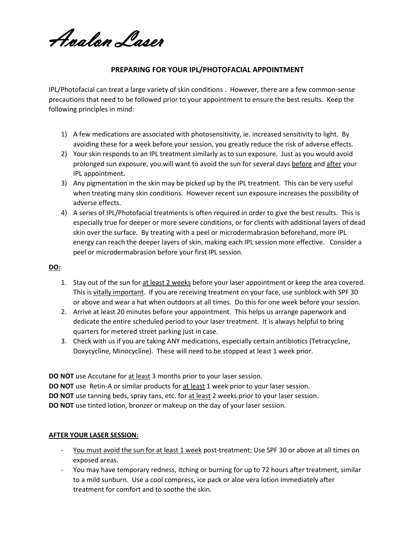Avalon Laser

## **PREPARING FOR YOUR IPL/PHOTOFACIAL APPOINTMENT**

IPL/Photofacial can treat a large variety of skin conditions . However, there are a few common-sense precautions that need to be followed prior to your appointment to ensure the best results. Keep the following principles in mind:

- 1) A few medications are associated with photosensitivity, ie. increased sensitivity to light. By avoiding these for a week before your session, you greatly reduce the risk of adverse effects.
- 2) Your skin responds to an IPL treatment similarly as to sun exposure. Just as you would avoid prolonged sun exposure, you will want to avoid the sun for several days before and after your IPL appointment.
- 3) Any pigmentation in the skin may be picked up by the IPL treatment. This can be very useful when treating many skin conditions. However recent sun exposure increases the possibility of adverse effects.
- 4) A series of IPL/Photofacial treatments is often required in order to give the best results. This is especially true for deeper or more severe conditions, or for clients with additional layers of dead skin over the surface. By treating with a peel or microdermabrasion beforehand, more IPL energy can reach the deeper layers of skin, making each IPL session more effective. Consider a peel or microdermabrasion before your first IPL session.

## **DO:**

- 1. Stay out of the sun for at least 2 weeks before your laser appointment or keep the area covered. This is vitally important. If you are receiving treatment on your face, use sunblock with SPF 30 or above and wear a hat when outdoors at all times. Do this for one week before your session.
- 2. Arrive at least 20 minutes before your appointment. This helps us arrange paperwork and dedicate the entire scheduled period to your laser treatment. It is always helpful to bring quarters for metered street parking just in case.
- 3. Check with us if you are taking ANY medications, especially certain antibiotics (Tetracycline, Doxycycline, Minocycline). These will need to be stopped at least 1 week prior.

**DO NOT** use Accutane for at least 3 months prior to your laser session. **DO NOT** use Retin-A or similar products for at least 1 week prior to your laser session. **DO NOT** use tanning beds, spray tans, etc. for at least 2 weeks prior to your laser session. **DO NOT** use tinted lotion, bronzer or makeup on the day of your laser session.

## **AFTER YOUR LASER SESSION:**

- You must avoid the sun for at least 1 week post-treatment; Use SPF 30 or above at all times on exposed areas.
- You may have temporary redness, itching or burning for up to 72 hours after treatment, similar to a mild sunburn. Use a cool compress, ice pack or aloe vera lotion immediately after treatment for comfort and to soothe the skin.